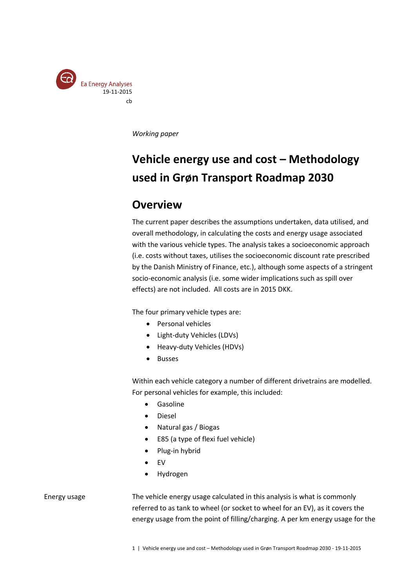

*Working paper*

# **Vehicle energy use and cost – Methodology used in Grøn Transport Roadmap 2030**

# **Overview**

The current paper describes the assumptions undertaken, data utilised, and overall methodology, in calculating the costs and energy usage associated with the various vehicle types. The analysis takes a socioeconomic approach (i.e. costs without taxes, utilises the socioeconomic discount rate prescribed by the Danish Ministry of Finance, etc.), although some aspects of a stringent socio-economic analysis (i.e. some wider implications such as spill over effects) are not included. All costs are in 2015 DKK.

The four primary vehicle types are:

- Personal vehicles
- Light-duty Vehicles (LDVs)
- Heavy-duty Vehicles (HDVs)
- Busses

Within each vehicle category a number of different drivetrains are modelled. For personal vehicles for example, this included:

- **•** Gasoline
- Diesel
- Natural gas / Biogas
- E85 (a type of flexi fuel vehicle)
- Plug-in hybrid
- EV
- Hydrogen

#### Energy usage

The vehicle energy usage calculated in this analysis is what is commonly referred to as tank to wheel (or socket to wheel for an EV), as it covers the energy usage from the point of filling/charging. A per km energy usage for the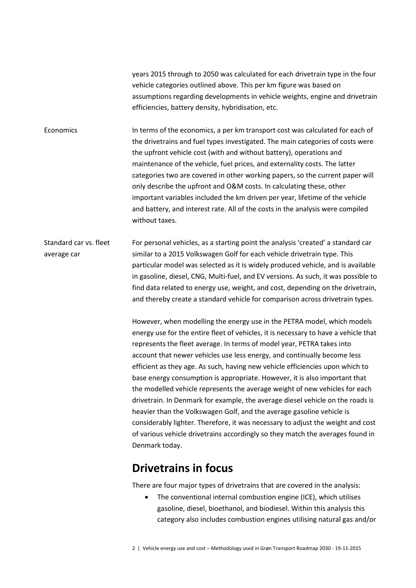years 2015 through to 2050 was calculated for each drivetrain type in the four vehicle categories outlined above. This per km figure was based on assumptions regarding developments in vehicle weights, engine and drivetrain efficiencies, battery density, hybridisation, etc.

In terms of the economics, a per km transport cost was calculated for each of the drivetrains and fuel types investigated. The main categories of costs were the upfront vehicle cost (with and without battery), operations and maintenance of the vehicle, fuel prices, and externality costs. The latter categories two are covered in other working papers, so the current paper will only describe the upfront and O&M costs. In calculating these, other important variables included the km driven per year, lifetime of the vehicle and battery, and interest rate. All of the costs in the analysis were compiled without taxes. **Economics** 

For personal vehicles, as a starting point the analysis 'created' a standard car similar to a 2015 Volkswagen Golf for each vehicle drivetrain type. This particular model was selected as it is widely produced vehicle, and is available in gasoline, diesel, CNG, Multi-fuel, and EV versions. As such, it was possible to find data related to energy use, weight, and cost, depending on the drivetrain, and thereby create a standard vehicle for comparison across drivetrain types. Standard car vs. fleet average car

> However, when modelling the energy use in the PETRA model, which models energy use for the entire fleet of vehicles, it is necessary to have a vehicle that represents the fleet average. In terms of model year, PETRA takes into account that newer vehicles use less energy, and continually become less efficient as they age. As such, having new vehicle efficiencies upon which to base energy consumption is appropriate. However, it is also important that the modelled vehicle represents the average weight of new vehicles for each drivetrain. In Denmark for example, the average diesel vehicle on the roads is heavier than the Volkswagen Golf, and the average gasoline vehicle is considerably lighter. Therefore, it was necessary to adjust the weight and cost of various vehicle drivetrains accordingly so they match the averages found in Denmark today.

# **Drivetrains in focus**

There are four major types of drivetrains that are covered in the analysis:

 The conventional internal combustion engine (ICE), which utilises gasoline, diesel, bioethanol, and biodiesel. Within this analysis this category also includes combustion engines utilising natural gas and/or

2 | Vehicle energy use and cost – Methodology used in Grøn Transport Roadmap 2030 - 19-11-2015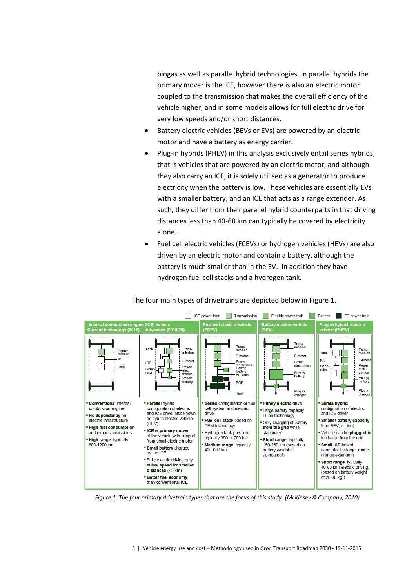biogas as well as parallel hybrid technologies. In parallel hybrids the primary mover is the ICE, however there is also an electric motor coupled to the transmission that makes the overall efficiency of the vehicle higher, and in some models allows for full electric drive for very low speeds and/or short distances.

- Battery electric vehicles (BEVs or EVs) are powered by an electric motor and have a battery as energy carrier.
- Plug-in hybrids (PHEV) in this analysis exclusively entail series hybrids, that is vehicles that are powered by an electric motor, and although they also carry an ICE, it is solely utilised as a generator to produce electricity when the battery is low. These vehicles are essentially EVs with a smaller battery, and an ICE that acts as a range extender. As such, they differ from their parallel hybrid counterparts in that driving distances less than 40-60 km can typically be covered by electricity alone.
- Fuel cell electric vehicles (FCEVs) or hydrogen vehicles (HEVs) are also driven by an electric motor and contain a battery, although the battery is much smaller than in the EV. In addition they have hydrogen fuel cell stacks and a hydrogen tank.



The four main types of drivetrains are depicted below i[n Figure 1.](#page-2-0)

<span id="page-2-0"></span>*Figure 1: The four primary drivetrain types that are the focus of this study. (McKinsey & Company, 2010)*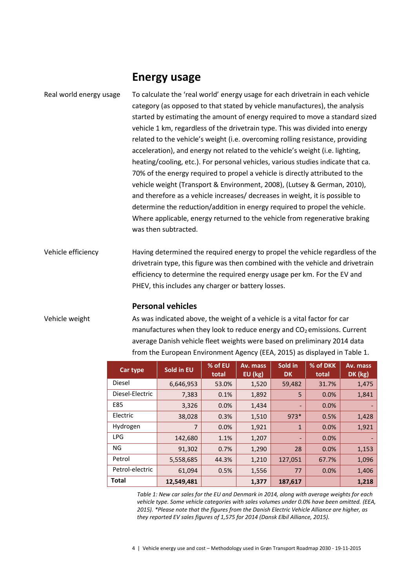### **Energy usage**

### To calculate the 'real world' energy usage for each drivetrain in each vehicle category (as opposed to that stated by vehicle manufactures), the analysis started by estimating the amount of energy required to move a standard sized vehicle 1 km, regardless of the drivetrain type. This was divided into energy related to the vehicle's weight (i.e. overcoming rolling resistance, providing acceleration), and energy not related to the vehicle's weight (i.e. lighting, heating/cooling, etc.). For personal vehicles, various studies indicate that ca. 70% of the energy required to propel a vehicle is directly attributed to the vehicle weight (Transport & Environment, 2008), (Lutsey & German, 2010), and therefore as a vehicle increases/ decreases in weight, it is possible to determine the reduction/addition in energy required to propel the vehicle. Where applicable, energy returned to the vehicle from regenerative braking was then subtracted. Real world energy usage

Having determined the required energy to propel the vehicle regardless of the drivetrain type, this figure was then combined with the vehicle and drivetrain efficiency to determine the required energy usage per km. For the EV and PHEV, this includes any charger or battery losses. Vehicle efficiency

#### **Personal vehicles**

#### Vehicle weight

As was indicated above, the weight of a vehicle is a vital factor for car manufactures when they look to reduce energy and  $CO<sub>2</sub>$  emissions. Current average Danish vehicle fleet weights were based on preliminary 2014 data from the European Environment Agency (EEA, 2015) as displayed in [Table 1.](#page-3-0)

| Car type        | Sold in EU     | % of EU<br>total | Av. mass<br>EU (kg) | Sold in<br><b>DK</b> | % of DKK<br>total | Av. mass<br>DK (kg) |
|-----------------|----------------|------------------|---------------------|----------------------|-------------------|---------------------|
| Diesel          | 6,646,953      | 53.0%            | 1,520               | 59,482               | 31.7%             | 1,475               |
| Diesel-Electric | 7,383          | 0.1%             | 1,892               | 5                    | 0.0%              | 1,841               |
| E85             | 3,326          | 0.0%             | 1,434               |                      | 0.0%              |                     |
| Electric        | 38,028         | 0.3%             | 1,510               | $973*$               | 0.5%              | 1,428               |
| Hydrogen        | $\overline{7}$ | 0.0%             | 1,921               | $\mathbf{1}$         | 0.0%              | 1,921               |
| <b>LPG</b>      | 142,680        | 1.1%             | 1,207               | ٠                    | 0.0%              |                     |
| NG              | 91,302         | 0.7%             | 1,290               | 28                   | 0.0%              | 1,153               |
| Petrol          | 5,558,685      | 44.3%            | 1,210               | 127,051              | 67.7%             | 1,096               |
| Petrol-electric | 61,094         | 0.5%             | 1,556               | 77                   | 0.0%              | 1,406               |
| Total           | 12,549,481     |                  | 1,377               | 187,617              |                   | 1,218               |

<span id="page-3-0"></span>Table 1: New car sales for the EU and Denmark in 2014, along with average weights for each *vehicle type. Some vehicle categories with sales volumes under 0.0% have been omitted. (EEA, 2015). \*Please note that the figures from the Danish Electric Vehicle Alliance are higher, as they reported EV sales figures of 1,575 for 2014 (Dansk Elbil Alliance, 2015).*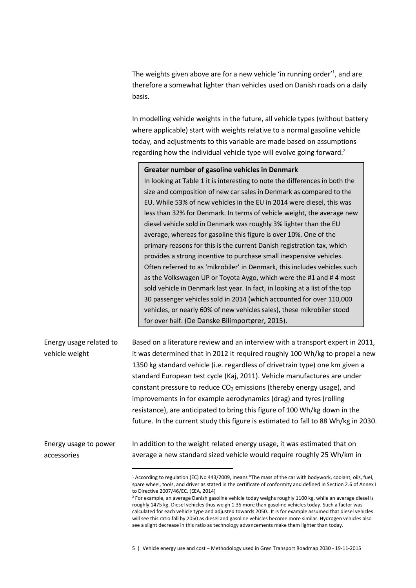The weights given above are for a new vehicle 'in running order'<sup>1</sup>, and are therefore a somewhat lighter than vehicles used on Danish roads on a daily basis.

In modelling vehicle weights in the future, all vehicle types (without battery where applicable) start with weights relative to a normal gasoline vehicle today, and adjustments to this variable are made based on assumptions regarding how the individual vehicle type will evolve going forward.<sup>2</sup>

|                         | Greater number of gasoline vehicles in Denmark                                 |
|-------------------------|--------------------------------------------------------------------------------|
|                         | In looking at Table 1 it is interesting to note the differences in both the    |
|                         | size and composition of new car sales in Denmark as compared to the            |
|                         | EU. While 53% of new vehicles in the EU in 2014 were diesel, this was          |
|                         | less than 32% for Denmark. In terms of vehicle weight, the average new         |
|                         | diesel vehicle sold in Denmark was roughly 3% lighter than the EU              |
|                         | average, whereas for gasoline this figure is over 10%. One of the              |
|                         | primary reasons for this is the current Danish registration tax, which         |
|                         | provides a strong incentive to purchase small inexpensive vehicles.            |
|                         | Often referred to as 'mikrobiler' in Denmark, this includes vehicles such      |
|                         | as the Volkswagen UP or Toyota Aygo, which were the #1 and #4 most             |
|                         | sold vehicle in Denmark last year. In fact, in looking at a list of the top    |
|                         | 30 passenger vehicles sold in 2014 (which accounted for over 110,000           |
|                         | vehicles, or nearly 60% of new vehicles sales), these mikrobiler stood         |
|                         | for over half. (De Danske Bilimportører, 2015).                                |
|                         |                                                                                |
| Energy usage related to | Based on a literature review and an interview with a transport expert in 2011, |
| vehicle weight          | it was determined that in 2012 it required roughly 100 Wh/kg to propel a new   |
|                         | 1350 kg standard vehicle (i.e. regardless of drivetrain type) one km given a   |
|                         | standard European test cycle (Kaj, 2011). Vehicle manufactures are under       |
|                         |                                                                                |

constant pressure to reduce  $CO<sub>2</sub>$  emissions (thereby energy usage), and improvements in for example aerodynamics (drag) and tyres (rolling resistance), are anticipated to bring this figure of 100 Wh/kg down in the future. In the current study this figure is estimated to fall to 88 Wh/kg in 2030.

In addition to the weight related energy usage, it was estimated that on average a new standard sized vehicle would require roughly 25 Wh/km in Energy usage to power accessories

 $\overline{a}$ 

<sup>1</sup> According to regulation (EC) No 443/2009, means "The mass of the car with bodywork, coolant, oils, fuel, spare wheel, tools, and driver as stated in the certificate of conformity and defined in Section 2.6 of Annex I to Directive 2007/46/EC. (EEA, 2014)

<sup>&</sup>lt;sup>2</sup> For example, an average Danish gasoline vehicle today weighs roughly 1100 kg, while an average diesel is roughly 1475 kg. Diesel vehicles thus weigh 1.35 more than gasoline vehicles today. Such a factor was calculated for each vehicle type and adjusted towards 2050. It is for example assumed that diesel vehicles will see this ratio fall by 2050 as diesel and gasoline vehicles become more similar. Hydrogen vehicles also see a slight decrease in this ratio as technology advancements make them lighter than today.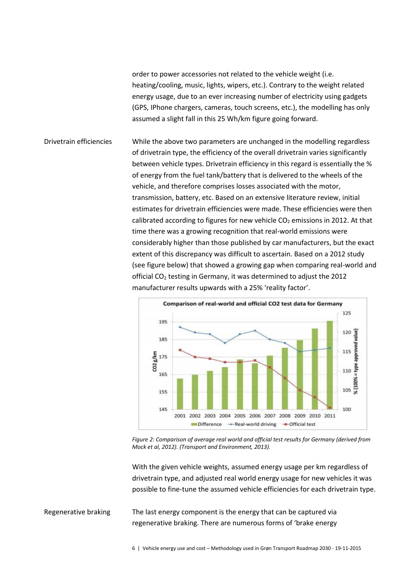order to power accessories not related to the vehicle weight (i.e. heating/cooling, music, lights, wipers, etc.). Contrary to the weight related energy usage, due to an ever increasing number of electricity using gadgets (GPS, IPhone chargers, cameras, touch screens, etc.), the modelling has only assumed a slight fall in this 25 Wh/km figure going forward.

While the above two parameters are unchanged in the modelling regardless of drivetrain type, the efficiency of the overall drivetrain varies significantly between vehicle types. Drivetrain efficiency in this regard is essentially the % of energy from the fuel tank/battery that is delivered to the wheels of the vehicle, and therefore comprises losses associated with the motor, transmission, battery, etc. Based on an extensive literature review, initial estimates for drivetrain efficiencies were made. These efficiencies were then calibrated according to figures for new vehicle  $CO<sub>2</sub>$  emissions in 2012. At that time there was a growing recognition that real-world emissions were considerably higher than those published by car manufacturers, but the exact extent of this discrepancy was difficult to ascertain. Based on a 2012 study (see figure below) that showed a growing gap when comparing real-world and official CO<sup>2</sup> testing in Germany, it was determined to adjust the 2012 manufacturer results upwards with a 25% 'reality factor'. Drivetrain efficiencies



*Figure 2: Comparison of average real world and official test results for Germany (derived from Mock et al, 2012). (Transport and Environment, 2013).*

With the given vehicle weights, assumed energy usage per km regardless of drivetrain type, and adjusted real world energy usage for new vehicles it was possible to fine-tune the assumed vehicle efficiencies for each drivetrain type.

The last energy component is the energy that can be captured via regenerative braking. There are numerous forms of 'brake energy Regenerative braking

6 | Vehicle energy use and cost – Methodology used in Grøn Transport Roadmap 2030 - 19-11-2015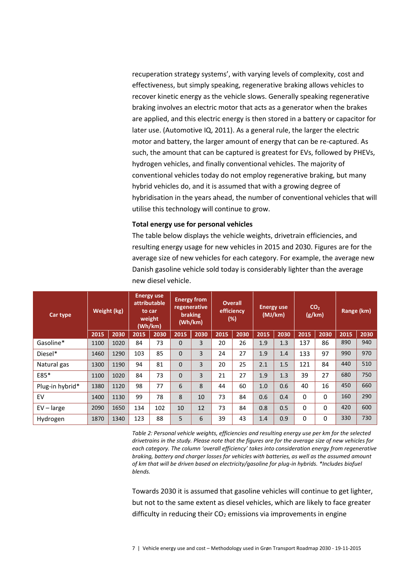recuperation strategy systems', with varying levels of complexity, cost and effectiveness, but simply speaking, regenerative braking allows vehicles to recover kinetic energy as the vehicle slows. Generally speaking regenerative braking involves an electric motor that acts as a generator when the brakes are applied, and this electric energy is then stored in a battery or capacitor for later use. (Automotive IQ, 2011). As a general rule, the larger the electric motor and battery, the larger amount of energy that can be re-captured. As such, the amount that can be captured is greatest for EVs, followed by PHEVs, hydrogen vehicles, and finally conventional vehicles. The majority of conventional vehicles today do not employ regenerative braking, but many hybrid vehicles do, and it is assumed that with a growing degree of hybridisation in the years ahead, the number of conventional vehicles that will utilise this technology will continue to grow.

#### **Total energy use for personal vehicles**

The table below displays the vehicle weights, drivetrain efficiencies, and resulting energy usage for new vehicles in 2015 and 2030. Figures are for the average size of new vehicles for each category. For example, the average new Danish gasoline vehicle sold today is considerably lighter than the average new diesel vehicle.

| Car type        |      | Weight (kg) |      | <b>Energy use</b><br>attributable<br>to car<br>weight<br>(Wh/km) |          | <b>Energy from</b><br>regenerative<br><b>braking</b><br>(Wh/km) |      | <b>Overall</b><br>efficiency<br>(%) |      | <b>Energy use</b><br>(MJ/km) |          | CO <sub>2</sub><br>(g/km) | Range (km) |      |
|-----------------|------|-------------|------|------------------------------------------------------------------|----------|-----------------------------------------------------------------|------|-------------------------------------|------|------------------------------|----------|---------------------------|------------|------|
|                 | 2015 | 2030        | 2015 | 2030                                                             | 2015     | 2030                                                            | 2015 | 2030                                | 2015 | 2030                         | 2015     | 2030                      | 2015       | 2030 |
| Gasoline*       | 1100 | 1020        | 84   | 73                                                               | $\Omega$ | 3                                                               | 20   | 26                                  | 1.9  | 1.3                          | 137      | 86                        | 890        | 940  |
| Diesel*         | 1460 | 1290        | 103  | 85                                                               | $\Omega$ | 3                                                               | 24   | 27                                  | 1.9  | 1.4                          | 133      | 97                        | 990        | 970  |
| Natural gas     | 1300 | 1190        | 94   | 81                                                               | $\Omega$ | 3                                                               | 20   | 25                                  | 2.1  | 1.5                          | 121      | 84                        | 440        | 510  |
| E85*            | 1100 | 1020        | 84   | 73                                                               | $\Omega$ | 3                                                               | 21   | 27                                  | 1.9  | 1.3                          | 39       | 27                        | 680        | 750  |
| Plug-in hybrid* | 1380 | 1120        | 98   | 77                                                               | 6        | 8                                                               | 44   | 60                                  | 1.0  | 0.6                          | 40       | 16                        | 450        | 660  |
| EV              | 1400 | 1130        | 99   | 78                                                               | 8        | 10                                                              | 73   | 84                                  | 0.6  | 0.4                          | $\Omega$ | $\Omega$                  | 160        | 290  |
| $EV - large$    | 2090 | 1650        | 134  | 102                                                              | 10       | 12                                                              | 73   | 84                                  | 0.8  | 0.5                          | $\Omega$ | $\Omega$                  | 420        | 600  |
| Hydrogen        | 1870 | 1340        | 123  | 88                                                               | 5        | 6                                                               | 39   | 43                                  | 1.4  | 0.9                          | $\Omega$ | $\Omega$                  | 330        | 730  |

*Table 2: Personal vehicle weights, efficiencies and resulting energy use per km for the selected drivetrains in the study. Please note that the figures are for the average size of new vehicles for each category. The column 'overall efficiency' takes into consideration energy from regenerative braking, battery and charger losses for vehicles with batteries, as well as the assumed amount of km that will be driven based on electricity/gasoline for plug-in hybrids. \*Includes biofuel blends.*

Towards 2030 it is assumed that gasoline vehicles will continue to get lighter, but not to the same extent as diesel vehicles, which are likely to face greater difficulty in reducing their  $CO<sub>2</sub>$  emissions via improvements in engine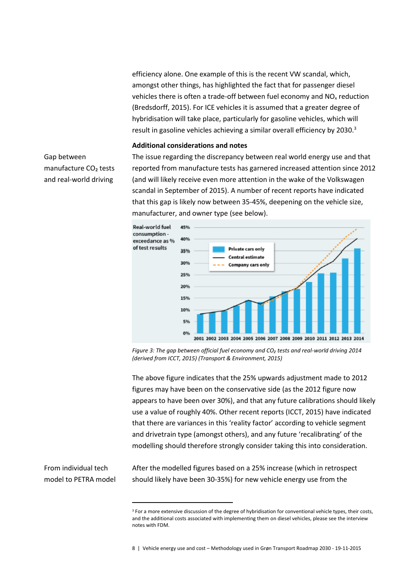efficiency alone. One example of this is the recent VW scandal, which, amongst other things, has highlighted the fact that for passenger diesel vehicles there is often a trade-off between fuel economy and NO<sup>x</sup> reduction (Bredsdorff, 2015). For ICE vehicles it is assumed that a greater degree of hybridisation will take place, particularly for gasoline vehicles, which will result in gasoline vehicles achieving a similar overall efficiency by 2030.<sup>3</sup>

#### **Additional considerations and notes**

### Gap between manufacture CO₂ tests and real-world driving

The issue regarding the discrepancy between real world energy use and that reported from manufacture tests has garnered increased attention since 2012 (and will likely receive even more attention in the wake of the Volkswagen scandal in September of 2015). A number of recent reports have indicated that this gap is likely now between 35-45%, deepening on the vehicle size, manufacturer, and owner type (see below).



*Figure 3: The gap between official fuel economy and CO₂ tests and real-world driving 2014 (derived from ICCT, 2015) (Transport & Environment, 2015)*

The above figure indicates that the 25% upwards adjustment made to 2012 figures may have been on the conservative side (as the 2012 figure now appears to have been over 30%), and that any future calibrations should likely use a value of roughly 40%. Other recent reports (ICCT, 2015) have indicated that there are variances in this 'reality factor' according to vehicle segment and drivetrain type (amongst others), and any future 'recalibrating' of the modelling should therefore strongly consider taking this into consideration.

From individual tech model to PETRA model

 $\overline{\phantom{a}}$ 

After the modelled figures based on a 25% increase (which in retrospect should likely have been 30-35%) for new vehicle energy use from the

<sup>&</sup>lt;sup>3</sup> For a more extensive discussion of the degree of hybridisation for conventional vehicle types, their costs, and the additional costs associated with implementing them on diesel vehicles, please see the interview notes with FDM.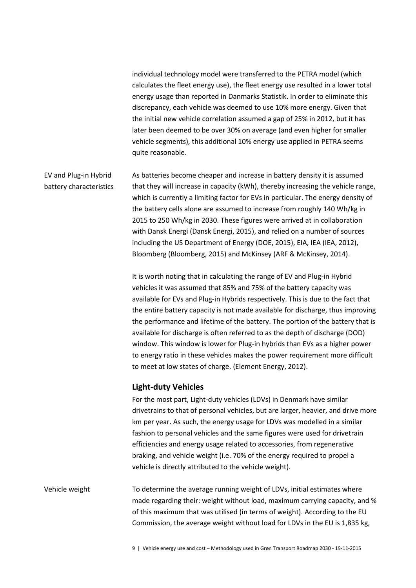individual technology model were transferred to the PETRA model (which calculates the fleet energy use), the fleet energy use resulted in a lower total energy usage than reported in Danmarks Statistik. In order to eliminate this discrepancy, each vehicle was deemed to use 10% more energy. Given that the initial new vehicle correlation assumed a gap of 25% in 2012, but it has later been deemed to be over 30% on average (and even higher for smaller vehicle segments), this additional 10% energy use applied in PETRA seems quite reasonable.

As batteries become cheaper and increase in battery density it is assumed that they will increase in capacity (kWh), thereby increasing the vehicle range, which is currently a limiting factor for EVs in particular. The energy density of the battery cells alone are assumed to increase from roughly 140 Wh/kg in 2015 to 250 Wh/kg in 2030. These figures were arrived at in collaboration with Dansk Energi (Dansk Energi, 2015), and relied on a number of sources including the US Department of Energy (DOE, 2015), EIA, IEA (IEA, 2012), Bloomberg (Bloomberg, 2015) and McKinsey (ARF & McKinsey, 2014). EV and Plug-in Hybrid battery characteristics

> It is worth noting that in calculating the range of EV and Plug-in Hybrid vehicles it was assumed that 85% and 75% of the battery capacity was available for EVs and Plug-in Hybrids respectively. This is due to the fact that the entire battery capacity is not made available for discharge, thus improving the performance and lifetime of the battery. The portion of the battery that is available for discharge is often referred to as the depth of discharge (DOD) window. This window is lower for Plug-in hybrids than EVs as a higher power to energy ratio in these vehicles makes the power requirement more difficult to meet at low states of charge. (Element Energy, 2012).

#### **Light-duty Vehicles**

For the most part, Light-duty vehicles (LDVs) in Denmark have similar drivetrains to that of personal vehicles, but are larger, heavier, and drive more km per year. As such, the energy usage for LDVs was modelled in a similar fashion to personal vehicles and the same figures were used for drivetrain efficiencies and energy usage related to accessories, from regenerative braking, and vehicle weight (i.e. 70% of the energy required to propel a vehicle is directly attributed to the vehicle weight).

To determine the average running weight of LDVs, initial estimates where made regarding their: weight without load, maximum carrying capacity, and % of this maximum that was utilised (in terms of weight). According to the EU Commission, the average weight without load for LDVs in the EU is 1,835 kg, Vehicle weight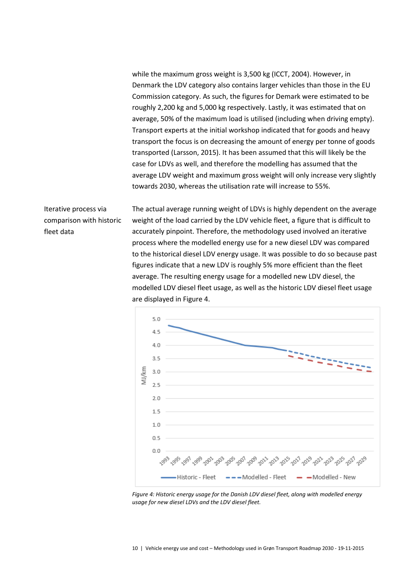while the maximum gross weight is 3,500 kg (ICCT, 2004). However, in Denmark the LDV category also contains larger vehicles than those in the EU Commission category. As such, the figures for Demark were estimated to be roughly 2,200 kg and 5,000 kg respectively. Lastly, it was estimated that on average, 50% of the maximum load is utilised (including when driving empty). Transport experts at the initial workshop indicated that for goods and heavy transport the focus is on decreasing the amount of energy per tonne of goods transported (Larsson, 2015). It has been assumed that this will likely be the case for LDVs as well, and therefore the modelling has assumed that the average LDV weight and maximum gross weight will only increase very slightly towards 2030, whereas the utilisation rate will increase to 55%.

Iterative process via comparison with historic fleet data

The actual average running weight of LDVs is highly dependent on the average weight of the load carried by the LDV vehicle fleet, a figure that is difficult to accurately pinpoint. Therefore, the methodology used involved an iterative process where the modelled energy use for a new diesel LDV was compared to the historical diesel LDV energy usage. It was possible to do so because past figures indicate that a new LDV is roughly 5% more efficient than the fleet average. The resulting energy usage for a modelled new LDV diesel, the modelled LDV diesel fleet usage, as well as the historic LDV diesel fleet usage are displayed in [Figure 4.](#page-9-0)



<span id="page-9-0"></span>*Figure 4: Historic energy usage for the Danish LDV diesel fleet, along with modelled energy usage for new diesel LDVs and the LDV diesel fleet.*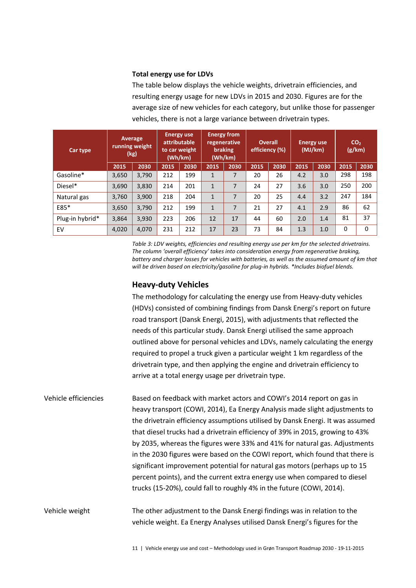#### **Total energy use for LDVs**

The table below displays the vehicle weights, drivetrain efficiencies, and resulting energy usage for new LDVs in 2015 and 2030. Figures are for the average size of new vehicles for each category, but unlike those for passenger vehicles, there is not a large variance between drivetrain types.

| Car type        |       | Average<br>running weight<br>(kg) |      | <b>Energy use</b><br>attributable<br>to car weight<br>(Wh/km) |              | <b>Energy from</b><br>regenerative<br>braking<br>(Wh/km) |      | <b>Overall</b><br>efficiency (%) | <b>Energy use</b><br>(MJ/km) |      |      | CO <sub>2</sub><br>(g/km) |
|-----------------|-------|-----------------------------------|------|---------------------------------------------------------------|--------------|----------------------------------------------------------|------|----------------------------------|------------------------------|------|------|---------------------------|
|                 | 2015  | 2030                              | 2015 | 2030                                                          | 2015         | 2030                                                     | 2015 | 2030                             | 2015                         | 2030 | 2015 | 2030                      |
| Gasoline*       | 3,650 | 3,790                             | 212  | 199                                                           | $\mathbf{1}$ | 7                                                        | 20   | 26                               | 4.2                          | 3.0  | 298  | 198                       |
| Diesel*         | 3,690 | 3,830                             | 214  | 201                                                           | $\mathbf{1}$ | 7                                                        | 24   | 27                               | 3.6                          | 3.0  | 250  | 200                       |
| Natural gas     | 3,760 | 3,900                             | 218  | 204                                                           | $\mathbf{1}$ | 7                                                        | 20   | 25                               | 4.4                          | 3.2  | 247  | 184                       |
| E85*            | 3,650 | 3,790                             | 212  | 199                                                           | $\mathbf{1}$ | 7                                                        | 21   | 27                               | 4.1                          | 2.9  | 86   | 62                        |
| Plug-in hybrid* | 3,864 | 3,930                             | 223  | 206                                                           | 12           | 17                                                       | 44   | 60                               | 2.0                          | 1.4  | 81   | 37                        |
| EV              | 4,020 | 4,070                             | 231  | 212                                                           | 17           | 23                                                       | 73   | 84                               | 1.3                          | 1.0  | 0    | $\Omega$                  |

*Table 3: LDV weights, efficiencies and resulting energy use per km for the selected drivetrains. The column 'overall efficiency' takes into consideration energy from regenerative braking, battery and charger losses for vehicles with batteries, as well as the assumed amount of km that will be driven based on electricity/gasoline for plug-in hybrids. \*Includes biofuel blends.*

#### **Heavy-duty Vehicles**

The methodology for calculating the energy use from Heavy-duty vehicles (HDVs) consisted of combining findings from Dansk Energi's report on future road transport (Dansk Energi, 2015), with adjustments that reflected the needs of this particular study. Dansk Energi utilised the same approach outlined above for personal vehicles and LDVs, namely calculating the energy required to propel a truck given a particular weight 1 km regardless of the drivetrain type, and then applying the engine and drivetrain efficiency to arrive at a total energy usage per drivetrain type.

Based on feedback with market actors and COWI's 2014 report on gas in heavy transport (COWI, 2014), Ea Energy Analysis made slight adjustments to the drivetrain efficiency assumptions utilised by Dansk Energi. It was assumed that diesel trucks had a drivetrain efficiency of 39% in 2015, growing to 43% by 2035, whereas the figures were 33% and 41% for natural gas. Adjustments in the 2030 figures were based on the COWI report, which found that there is significant improvement potential for natural gas motors (perhaps up to 15 percent points), and the current extra energy use when compared to diesel trucks (15-20%), could fall to roughly 4% in the future (COWI, 2014). Vehicle efficiencies

The other adjustment to the Dansk Energi findings was in relation to the vehicle weight. Ea Energy Analyses utilised Dansk Energi's figures for the Vehicle weight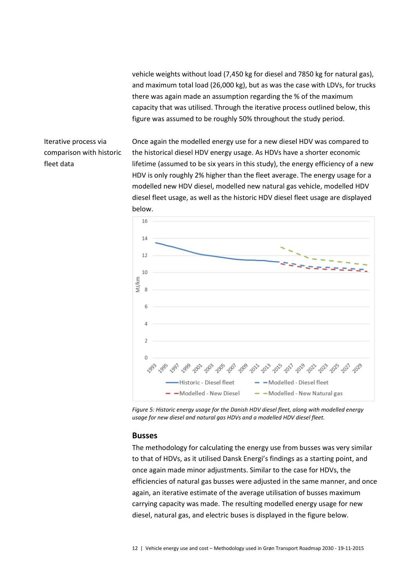vehicle weights without load (7,450 kg for diesel and 7850 kg for natural gas), and maximum total load (26,000 kg), but as was the case with LDVs, for trucks there was again made an assumption regarding the % of the maximum capacity that was utilised. Through the iterative process outlined below, this figure was assumed to be roughly 50% throughout the study period.

Iterative process via comparison with historic fleet data

Once again the modelled energy use for a new diesel HDV was compared to the historical diesel HDV energy usage. As HDVs have a shorter economic lifetime (assumed to be six years in this study), the energy efficiency of a new HDV is only roughly 2% higher than the fleet average. The energy usage for a modelled new HDV diesel, modelled new natural gas vehicle, modelled HDV diesel fleet usage, as well as the historic HDV diesel fleet usage are displayed below.



*Figure 5: Historic energy usage for the Danish HDV diesel fleet, along with modelled energy usage for new diesel and natural gas HDVs and a modelled HDV diesel fleet.* 

#### **Busses**

The methodology for calculating the energy use from busses was very similar to that of HDVs, as it utilised Dansk Energi's findings as a starting point, and once again made minor adjustments. Similar to the case for HDVs, the efficiencies of natural gas busses were adjusted in the same manner, and once again, an iterative estimate of the average utilisation of busses maximum carrying capacity was made. The resulting modelled energy usage for new diesel, natural gas, and electric buses is displayed in the figure below.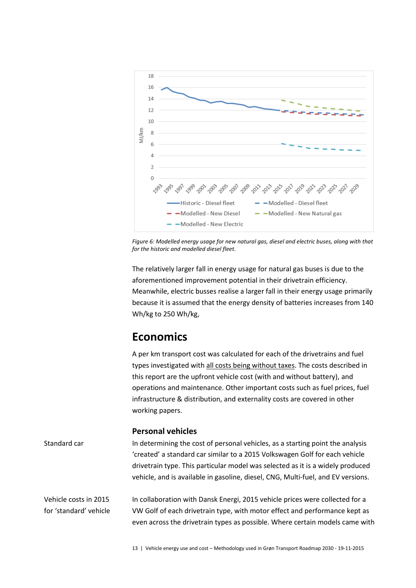

*Figure 6: Modelled energy usage for new natural gas, diesel and electric buses, along with that for the historic and modelled diesel fleet.*

The relatively larger fall in energy usage for natural gas buses is due to the aforementioned improvement potential in their drivetrain efficiency. Meanwhile, electric busses realise a larger fall in their energy usage primarily because it is assumed that the energy density of batteries increases from 140 Wh/kg to 250 Wh/kg,

# **Economics**

A per km transport cost was calculated for each of the drivetrains and fuel types investigated with all costs being without taxes. The costs described in this report are the upfront vehicle cost (with and without battery), and operations and maintenance. Other important costs such as fuel prices, fuel infrastructure & distribution, and externality costs are covered in other working papers.

#### **Personal vehicles**

In determining the cost of personal vehicles, as a starting point the analysis 'created' a standard car similar to a 2015 Volkswagen Golf for each vehicle drivetrain type. This particular model was selected as it is a widely produced vehicle, and is available in gasoline, diesel, CNG, Multi-fuel, and EV versions. Standard car

In collaboration with Dansk Energi, 2015 vehicle prices were collected for a VW Golf of each drivetrain type, with motor effect and performance kept as even across the drivetrain types as possible. Where certain models came with Vehicle costs in 2015 for 'standard' vehicle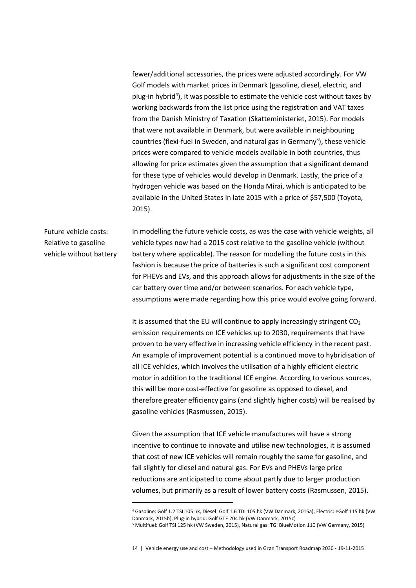fewer/additional accessories, the prices were adjusted accordingly. For VW Golf models with market prices in Denmark (gasoline, diesel, electric, and plug-in hybrid<sup>4</sup>), it was possible to estimate the vehicle cost without taxes by working backwards from the list price using the registration and VAT taxes from the Danish Ministry of Taxation (Skatteministeriet, 2015). For models that were not available in Denmark, but were available in neighbouring countries (flexi-fuel in Sweden, and natural gas in Germany<sup>5</sup>), these vehicle prices were compared to vehicle models available in both countries, thus allowing for price estimates given the assumption that a significant demand for these type of vehicles would develop in Denmark. Lastly, the price of a hydrogen vehicle was based on the Honda Mirai, which is anticipated to be available in the United States in late 2015 with a price of \$57,500 (Toyota, 2015).

Future vehicle costs: Relative to gasoline vehicle without battery

 $\overline{\phantom{a}}$ 

In modelling the future vehicle costs, as was the case with vehicle weights, all vehicle types now had a 2015 cost relative to the gasoline vehicle (without battery where applicable). The reason for modelling the future costs in this fashion is because the price of batteries is such a significant cost component for PHEVs and EVs, and this approach allows for adjustments in the size of the car battery over time and/or between scenarios. For each vehicle type, assumptions were made regarding how this price would evolve going forward.

It is assumed that the EU will continue to apply increasingly stringent  $CO<sub>2</sub>$ emission requirements on ICE vehicles up to 2030, requirements that have proven to be very effective in increasing vehicle efficiency in the recent past. An example of improvement potential is a continued move to hybridisation of all ICE vehicles, which involves the utilisation of a highly efficient electric motor in addition to the traditional ICE engine. According to various sources, this will be more cost-effective for gasoline as opposed to diesel, and therefore greater efficiency gains (and slightly higher costs) will be realised by gasoline vehicles (Rasmussen, 2015).

Given the assumption that ICE vehicle manufactures will have a strong incentive to continue to innovate and utilise new technologies, it is assumed that cost of new ICE vehicles will remain roughly the same for gasoline, and fall slightly for diesel and natural gas. For EVs and PHEVs large price reductions are anticipated to come about partly due to larger production volumes, but primarily as a result of lower battery costs (Rasmussen, 2015).

<sup>4</sup> Gasoline: Golf 1.2 TSI 105 hk, Diesel: Golf 1.6 TDI 105 hk (VW Danmark, 2015a), Electric: eGolf 115 hk (VW Danmark, 2015b), Plug-in hybrid: Golf GTE 204 hk (VW Danmark, 2015c)

<sup>5</sup> Multifuel: Golf TSI 125 hk (VW Sweden, 2015), Natural gas: TGI BlueMotion 110 (VW Germany, 2015)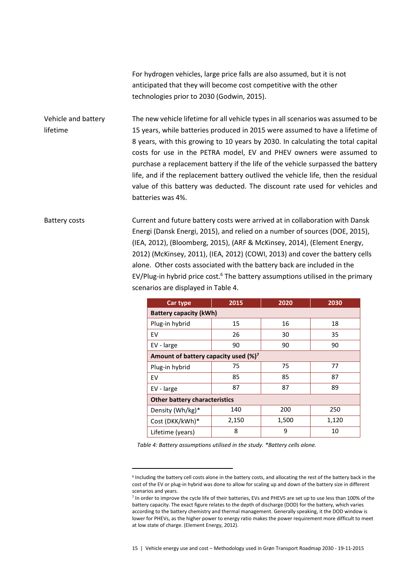For hydrogen vehicles, large price falls are also assumed, but it is not anticipated that they will become cost competitive with the other technologies prior to 2030 (Godwin, 2015).

The new vehicle lifetime for all vehicle types in all scenarios was assumed to be 15 years, while batteries produced in 2015 were assumed to have a lifetime of 8 years, with this growing to 10 years by 2030. In calculating the total capital costs for use in the PETRA model, EV and PHEV owners were assumed to purchase a replacement battery if the life of the vehicle surpassed the battery life, and if the replacement battery outlived the vehicle life, then the residual value of this battery was deducted. The discount rate used for vehicles and batteries was 4%. Vehicle and battery lifetime

Current and future battery costs were arrived at in collaboration with Dansk Energi (Dansk Energi, 2015), and relied on a number of sources (DOE, 2015), (IEA, 2012), (Bloomberg, 2015), (ARF & McKinsey, 2014), (Element Energy, 2012) (McKinsey, 2011), (IEA, 2012) (COWI, 2013) and cover the battery cells alone. Other costs associated with the battery back are included in the EV/Plug-in hybrid price cost. $6$  The battery assumptions utilised in the primary scenarios are displayed in [Table 4.](#page-14-0) Battery costs

| Car type                                 | 2015  | 2020  | 2030  |  |  |  |  |  |  |
|------------------------------------------|-------|-------|-------|--|--|--|--|--|--|
| <b>Battery capacity (kWh)</b>            |       |       |       |  |  |  |  |  |  |
| Plug-in hybrid                           | 15    | 16    | 18    |  |  |  |  |  |  |
| EV                                       | 26    | 30    | 35    |  |  |  |  |  |  |
| EV - large                               | 90    | 90    | 90    |  |  |  |  |  |  |
| Amount of battery capacity used $(\%)^7$ |       |       |       |  |  |  |  |  |  |
| Plug-in hybrid                           | 75    | 75    | 77    |  |  |  |  |  |  |
| EV                                       | 85    | 85    | 87    |  |  |  |  |  |  |
| EV - large                               | 87    | 87    | 89    |  |  |  |  |  |  |
| <b>Other battery characteristics</b>     |       |       |       |  |  |  |  |  |  |
| Density (Wh/kg)*                         | 140   | 200   | 250   |  |  |  |  |  |  |
| Cost (DKK/kWh)*                          | 2,150 | 1,500 | 1,120 |  |  |  |  |  |  |
| Lifetime (years)                         | 8     | 9     | 10    |  |  |  |  |  |  |

<span id="page-14-0"></span>*Table 4: Battery assumptions utilised in the study. \*Battery cells alone.*

 $\overline{a}$ 

<sup>6</sup> Including the battery cell costs alone in the battery costs, and allocating the rest of the battery back in the cost of the EV or plug-in hybrid was done to allow for scaling up and down of the battery size in different scenarios and years.

<sup>7</sup> In order to improve the cycle life of their batteries, EVs and PHEVS are set up to use less than 100% of the battery capacity. The exact figure relates to the depth of discharge (DOD) for the battery, which varies according to the battery chemistry and thermal management. Generally speaking, it the DOD window is lower for PHEVs, as the higher power to energy ratio makes the power requirement more difficult to meet at low state of charge. (Element Energy, 2012).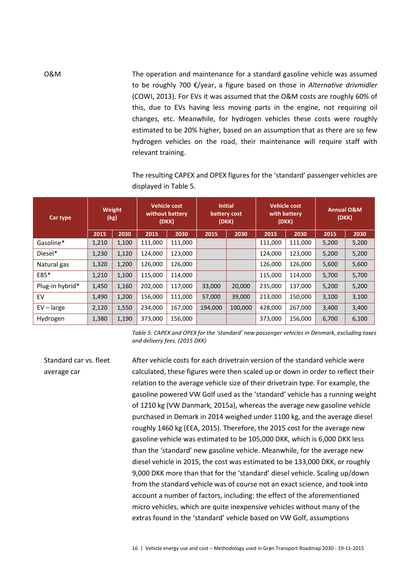The operation and maintenance for a standard gasoline vehicle was assumed to be roughly 700 €/year, a figure based on those in *Alternative drivmidler* (COWI, 2013). For EVs it was assumed that the O&M costs are roughly 60% of this, due to EVs having less moving parts in the engine, not requiring oil changes, etc. Meanwhile, for hydrogen vehicles these costs were roughly estimated to be 20% higher, based on an assumption that as there are so few hydrogen vehicles on the road, their maintenance will require staff with relevant training.

> The resulting CAPEX and OPEX figures for the 'standard' passenger vehicles are displayed in [Table 5.](#page-15-0)

| Car type        | Weight<br>(kg) |       | <b>Vehicle cost</b><br>without battery<br>(DKK) |         | <b>Initial</b><br>battery cost<br>(DKK) |         | <b>Vehicle cost</b><br>with battery<br>(DKK) |         | <b>Annual O&amp;M</b><br>(DKK) |       |
|-----------------|----------------|-------|-------------------------------------------------|---------|-----------------------------------------|---------|----------------------------------------------|---------|--------------------------------|-------|
|                 | 2015           | 2030  | 2015                                            | 2030    | 2015                                    | 2030    | 2015                                         | 2030    | 2015                           | 2030  |
| Gasoline*       | 1,210          | 1,100 | 111,000                                         | 111,000 |                                         |         | 111,000                                      | 111,000 | 5,200                          | 5,200 |
| Diesel*         | 1,230          | 1,120 | 124,000                                         | 123,000 |                                         |         | 124,000                                      | 123,000 | 5,200                          | 5,200 |
| Natural gas     | 1,320          | 1,200 | 126,000                                         | 126,000 |                                         |         | 126,000                                      | 126,000 | 5,600                          | 5,600 |
| E85*            | 1,210          | 1,100 | 115,000                                         | 114,000 |                                         |         | 115,000                                      | 114,000 | 5,700                          | 5,700 |
| Plug-in hybrid* | 1,450          | 1,160 | 202,000                                         | 117,000 | 33,000                                  | 20,000  | 235,000                                      | 137,000 | 5,200                          | 5,200 |
| EV              | 1,490          | 1,200 | 156,000                                         | 111,000 | 57,000                                  | 39,000  | 213,000                                      | 150,000 | 3,100                          | 3,100 |
| $EV - large$    | 2,120          | 1,550 | 234,000                                         | 167,000 | 194,000                                 | 100,000 | 428,000                                      | 267,000 | 3,400                          | 3,400 |
| Hydrogen        | 1,380          | 1,190 | 373,000                                         | 156,000 |                                         |         | 373,000                                      | 156,000 | 6,700                          | 6,100 |

<span id="page-15-0"></span>*Table 5: CAPEX and OPEX for the 'standard' new passenger vehicles in Denmark, excluding taxes and delivery fees. (2015 DKK)*

After vehicle costs for each drivetrain version of the standard vehicle were calculated, these figures were then scaled up or down in order to reflect their relation to the average vehicle size of their drivetrain type. For example, the gasoline powered VW Golf used as the 'standard' vehicle has a running weight of 1210 kg (VW Danmark, 2015a), whereas the average new gasoline vehicle purchased in Demark in 2014 weighed under 1100 kg, and the average diesel roughly 1460 kg (EEA, 2015). Therefore, the 2015 cost for the average new gasoline vehicle was estimated to be 105,000 DKK, which is 6,000 DKK less than the 'standard' new gasoline vehicle. Meanwhile, for the average new diesel vehicle in 2015, the cost was estimated to be 133,000 DKK, or roughly 9,000 DKK more than that for the 'standard' diesel vehicle. Scaling up/down from the standard vehicle was of course not an exact science, and took into account a number of factors, including: the effect of the aforementioned micro vehicles, which are quite inexpensive vehicles without many of the extras found in the 'standard' vehicle based on VW Golf, assumptions Standard car vs. fleet average car

16 | Vehicle energy use and cost – Methodology used in Grøn Transport Roadmap 2030 - 19-11-2015

O&M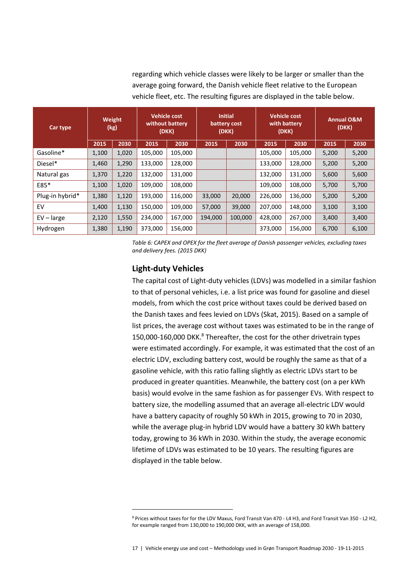regarding which vehicle classes were likely to be larger or smaller than the average going forward, the Danish vehicle fleet relative to the European vehicle fleet, etc. The resulting figures are displayed in the table below.

| Car type        | Weight<br>(kg) |       | <b>Vehicle cost</b><br>without battery<br>(DKK) |         | <b>Initial</b><br>battery cost<br>(DKK) |         | <b>Vehicle cost</b><br>with battery<br>(DKK) |         | <b>Annual O&amp;M</b><br>(DKK) |       |
|-----------------|----------------|-------|-------------------------------------------------|---------|-----------------------------------------|---------|----------------------------------------------|---------|--------------------------------|-------|
|                 | 2015           | 2030  | 2015                                            | 2030    | 2015                                    | 2030    | 2015                                         | 2030    | 2015                           | 2030  |
| Gasoline*       | 1,100          | 1,020 | 105,000                                         | 105,000 |                                         |         | 105,000                                      | 105,000 | 5,200                          | 5,200 |
| Diesel*         | 1,460          | 1,290 | 133,000                                         | 128,000 |                                         |         | 133,000                                      | 128,000 | 5,200                          | 5,200 |
| Natural gas     | 1,370          | 1,220 | 132,000                                         | 131,000 |                                         |         | 132,000                                      | 131,000 | 5,600                          | 5,600 |
| E85*            | 1,100          | 1,020 | 109,000                                         | 108,000 |                                         |         | 109,000                                      | 108,000 | 5,700                          | 5,700 |
| Plug-in hybrid* | 1,380          | 1,120 | 193,000                                         | 116,000 | 33,000                                  | 20,000  | 226,000                                      | 136,000 | 5,200                          | 5,200 |
| EV              | 1,400          | 1,130 | 150,000                                         | 109,000 | 57,000                                  | 39,000  | 207,000                                      | 148,000 | 3,100                          | 3,100 |
| $EV - large$    | 2,120          | 1,550 | 234,000                                         | 167,000 | 194,000                                 | 100,000 | 428,000                                      | 267,000 | 3,400                          | 3,400 |
| Hydrogen        | 1,380          | 1,190 | 373,000                                         | 156,000 |                                         |         | 373,000                                      | 156,000 | 6,700                          | 6,100 |

*Table 6: CAPEX and OPEX for the fleet average of Danish passenger vehicles, excluding taxes and delivery fees. (2015 DKK)*

#### **Light-duty Vehicles**

 $\overline{\phantom{a}}$ 

The capital cost of Light-duty vehicles (LDVs) was modelled in a similar fashion to that of personal vehicles, i.e. a list price was found for gasoline and diesel models, from which the cost price without taxes could be derived based on the Danish taxes and fees levied on LDVs (Skat, 2015). Based on a sample of list prices, the average cost without taxes was estimated to be in the range of 150,000-160,000 DKK.<sup>8</sup> Thereafter, the cost for the other drivetrain types were estimated accordingly. For example, it was estimated that the cost of an electric LDV, excluding battery cost, would be roughly the same as that of a gasoline vehicle, with this ratio falling slightly as electric LDVs start to be produced in greater quantities. Meanwhile, the battery cost (on a per kWh basis) would evolve in the same fashion as for passenger EVs. With respect to battery size, the modelling assumed that an average all-electric LDV would have a battery capacity of roughly 50 kWh in 2015, growing to 70 in 2030, while the average plug-in hybrid LDV would have a battery 30 kWh battery today, growing to 36 kWh in 2030. Within the study, the average economic lifetime of LDVs was estimated to be 10 years. The resulting figures are displayed in the table below.

17 | Vehicle energy use and cost – Methodology used in Grøn Transport Roadmap 2030 - 19-11-2015

<sup>8</sup> Prices without taxes for for the LDV Maxus, Ford Transit Van 470 - L4 H3, and Ford Transit Van 350 - L2 H2, for example ranged from 130,000 to 190,000 DKK, with an average of 158,000.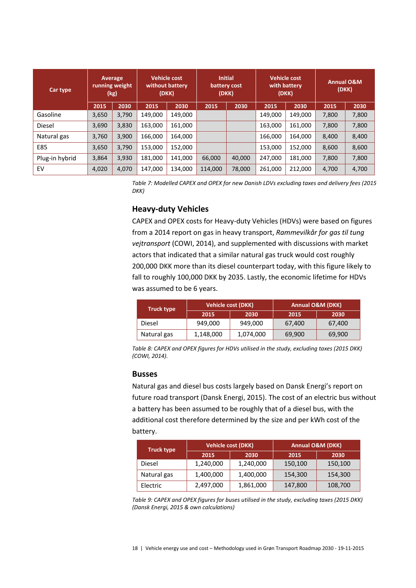| Car type       | Average<br>running weight<br>(kg) |       | <b>Vehicle cost</b><br>without battery<br>(DKK) |         | <b>Initial</b><br>battery cost<br>(DKK) |        | <b>Vehicle cost</b><br>with battery<br>(DKK) |         | <b>Annual O&amp;M</b><br>(DKK) |       |
|----------------|-----------------------------------|-------|-------------------------------------------------|---------|-----------------------------------------|--------|----------------------------------------------|---------|--------------------------------|-------|
|                | 2015                              | 2030  | 2015                                            | 2030    | 2015                                    | 2030   | 2015                                         | 2030    | 2015                           | 2030  |
| Gasoline       | 3,650                             | 3,790 | 149,000                                         | 149,000 |                                         |        | 149,000                                      | 149,000 | 7,800                          | 7,800 |
| <b>Diesel</b>  | 3,690                             | 3,830 | 163,000                                         | 161,000 |                                         |        | 163,000                                      | 161,000 | 7,800                          | 7,800 |
| Natural gas    | 3,760                             | 3,900 | 166,000                                         | 164.000 |                                         |        | 166,000                                      | 164.000 | 8,400                          | 8,400 |
| E85            | 3,650                             | 3,790 | 153,000                                         | 152,000 |                                         |        | 153,000                                      | 152,000 | 8,600                          | 8,600 |
| Plug-in hybrid | 3,864                             | 3,930 | 181,000                                         | 141.000 | 66,000                                  | 40,000 | 247,000                                      | 181,000 | 7,800                          | 7,800 |
| EV             | 4,020                             | 4,070 | 147,000                                         | 134,000 | 114,000                                 | 78,000 | 261,000                                      | 212,000 | 4,700                          | 4,700 |

*Table 7: Modelled CAPEX and OPEX for new Danish LDVs excluding taxes and delivery fees (2015 DKK)*

#### **Heavy-duty Vehicles**

CAPEX and OPEX costs for Heavy-duty Vehicles (HDVs) were based on figures from a 2014 report on gas in heavy transport, *Rammevilkår for gas til tung vejtransport* (COWI, 2014), and supplemented with discussions with market actors that indicated that a similar natural gas truck would cost roughly 200,000 DKK more than its diesel counterpart today, with this figure likely to fall to roughly 100,000 DKK by 2035. Lastly, the economic lifetime for HDVs was assumed to be 6 years.

| <b>Truck type</b> |           | <b>Vehicle cost (DKK)</b> | Annual O&M (DKK) |        |  |  |
|-------------------|-----------|---------------------------|------------------|--------|--|--|
|                   | 2015      | 2030                      | 2015             | 2030   |  |  |
| Diesel            | 949,000   | 949,000                   | 67,400           | 67,400 |  |  |
| Natural gas       | 1,148,000 | 1,074,000                 | 69,900           | 69,900 |  |  |

*Table 8: CAPEX and OPEX figures for HDVs utilised in the study, excluding taxes (2015 DKK) (COWI, 2014).*

#### **Busses**

Natural gas and diesel bus costs largely based on Dansk Energi's report on future road transport (Dansk Energi, 2015). The cost of an electric bus without a battery has been assumed to be roughly that of a diesel bus, with the additional cost therefore determined by the size and per kWh cost of the battery.

| <b>Truck type</b> | <b>Vehicle cost (DKK)</b> |           | <b>Annual O&amp;M (DKK)</b> |         |  |  |
|-------------------|---------------------------|-----------|-----------------------------|---------|--|--|
|                   | 2015                      | 2030      | 2015                        | 2030    |  |  |
| Diesel            | 1,240,000                 | 1,240,000 | 150,100                     | 150,100 |  |  |
| Natural gas       | 1,400,000                 | 1,400,000 | 154,300                     | 154,300 |  |  |
| Electric          | 2,497,000                 | 1,861,000 | 147,800                     | 108,700 |  |  |

*Table 9: CAPEX and OPEX figures for buses utilised in the study, excluding taxes (2015 DKK) (Dansk Energi, 2015 & own calculations)*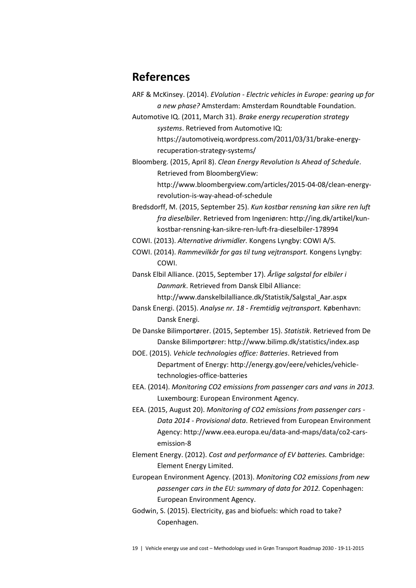## **References**

- ARF & McKinsey. (2014). *EVolution - Electric vehicles in Europe: gearing up for a new phase?* Amsterdam: Amsterdam Roundtable Foundation.
- Automotive IQ. (2011, March 31). *Brake energy recuperation strategy systems*. Retrieved from Automotive IQ:

https://automotiveiq.wordpress.com/2011/03/31/brake-energyrecuperation-strategy-systems/

Bloomberg. (2015, April 8). *Clean Energy Revolution Is Ahead of Schedule*. Retrieved from BloombergView:

> http://www.bloombergview.com/articles/2015-04-08/clean-energyrevolution-is-way-ahead-of-schedule

Bredsdorff, M. (2015, September 25). *Kun kostbar rensning kan sikre ren luft fra dieselbiler*. Retrieved from Ingeniøren: http://ing.dk/artikel/kunkostbar-rensning-kan-sikre-ren-luft-fra-dieselbiler-178994

COWI. (2013). *Alternative drivmidler.* Kongens Lyngby: COWI A/S.

COWI. (2014). *Rammevilkår for gas til tung vejtransport.* Kongens Lyngby: COWI.

Dansk Elbil Alliance. (2015, September 17). *Årlige salgstal for elbiler i Danmark*. Retrieved from Dansk Elbil Alliance: http://www.danskelbilalliance.dk/Statistik/Salgstal\_Aar.aspx

Dansk Energi. (2015). *Analyse nr. 18 - Fremtidig vejtransport.* København: Dansk Energi.

De Danske Bilimportører. (2015, September 15). *Statistik*. Retrieved from De Danske Bilimportører: http://www.bilimp.dk/statistics/index.asp

- DOE. (2015). *Vehicle technologies office: Batteries*. Retrieved from Department of Energy: http://energy.gov/eere/vehicles/vehicletechnologies-office-batteries
- EEA. (2014). *Monitoring CO2 emissions from passenger cars and vans in 2013.* Luxembourg: European Environment Agency.
- EEA. (2015, August 20). *Monitoring of CO2 emissions from passenger cars - Data 2014 - Provisional data*. Retrieved from European Environment Agency: http://www.eea.europa.eu/data-and-maps/data/co2-carsemission-8
- Element Energy. (2012). *Cost and performance of EV batteries.* Cambridge: Element Energy Limited.
- European Environment Agency. (2013). *Monitoring CO2 emissions from new passenger cars in the EU: summary of data for 2012.* Copenhagen: European Environment Agency.
- Godwin, S. (2015). Electricity, gas and biofuels: which road to take? Copenhagen.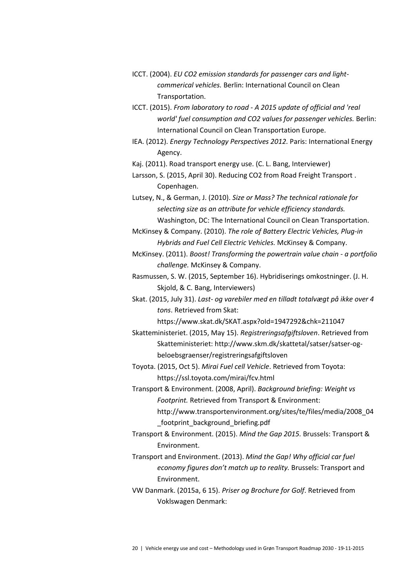- ICCT. (2004). *EU CO2 emission standards for passenger cars and lightcommerical vehicles.* Berlin: International Council on Clean Transportation.
- ICCT. (2015). *From laboratory to road - A 2015 update of official and 'real world' fuel consumption and CO2 values for passenger vehicles.* Berlin: International Council on Clean Transportation Europe.
- IEA. (2012). *Energy Technology Perspectives 2012.* Paris: International Energy Agency.

Kaj. (2011). Road transport energy use. (C. L. Bang, Interviewer)

Larsson, S. (2015, April 30). Reducing CO2 from Road Freight Transport . Copenhagen.

Lutsey, N., & German, J. (2010). *Size or Mass? The technical rationale for selecting size as an attribute for vehicle efficiency standards.* Washington, DC: The International Council on Clean Transportation.

McKinsey & Company. (2010). *The role of Battery Electric Vehicles, Plug-in Hybrids and Fuel Cell Electric Vehicles.* McKinsey & Company.

McKinsey. (2011). *Boost! Transforming the powertrain value chain - a portfolio challenge.* McKinsey & Company.

Rasmussen, S. W. (2015, September 16). Hybridiserings omkostninger. (J. H. Skjold, & C. Bang, Interviewers)

Skat. (2015, July 31). *Last- og varebiler med en tilladt totalvægt på ikke over 4 tons*. Retrieved from Skat:

https://www.skat.dk/SKAT.aspx?oId=1947292&chk=211047

Skatteministeriet. (2015, May 15). *Registreringsafgiftsloven*. Retrieved from Skatteministeriet: http://www.skm.dk/skattetal/satser/satser-ogbeloebsgraenser/registreringsafgiftsloven

Toyota. (2015, Oct 5). *Mirai Fuel cell Vehicle*. Retrieved from Toyota: https://ssl.toyota.com/mirai/fcv.html

Transport & Environment. (2008, April). *Background briefing: Weight vs Footprint.* Retrieved from Transport & Environment: http://www.transportenvironment.org/sites/te/files/media/2008\_04

\_footprint\_background\_briefing.pdf

Transport & Environment. (2015). *Mind the Gap 2015.* Brussels: Transport & Environment.

Transport and Environment. (2013). *Mind the Gap! Why official car fuel economy figures don't match up to reality.* Brussels: Transport and Environment.

VW Danmark. (2015a, 6 15). *Priser og Brochure for Golf*. Retrieved from Voklswagen Denmark: